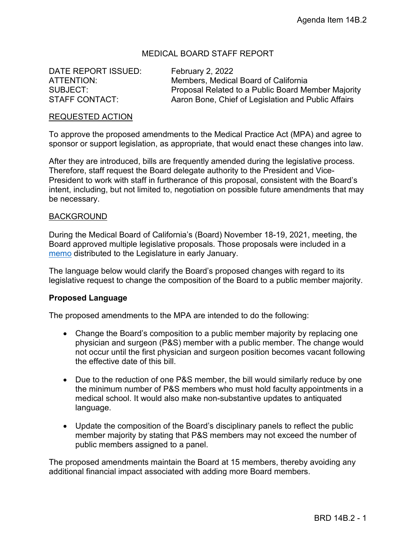# MEDICAL BOARD STAFF REPORT

DATE REPORT ISSUED: February 2, 2022

ATTENTION: Members, Medical Board of California SUBJECT: Proposal Related to a Public Board Member Majority STAFF CONTACT: Aaron Bone, Chief of Legislation and Public Affairs

### REQUESTED ACTION

To approve the proposed amendments to the Medical Practice Act (MPA) and agree to sponsor or support legislation, as appropriate, that would enact these changes into law.

After they are introduced, bills are frequently amended during the legislative process. Therefore, staff request the Board delegate authority to the President and Vice-President to work with staff in furtherance of this proposal, consistent with the Board's intent, including, but not limited to, negotiation on possible future amendments that may be necessary.

#### **BACKGROUND**

During the Medical Board of California's (Board) November 18-19, 2021, meeting, the Board approved multiple legislative proposals. Those proposals were included in a [memo](https://www.mbc.ca.gov/Download/Documents/MBCLegislativeRequests-20220105.pdf) distributed to the Legislature in early January.

The language below would clarify the Board's proposed changes with regard to its legislative request to change the composition of the Board to a public member majority.

### **Proposed Language**

The proposed amendments to the MPA are intended to do the following:

- Change the Board's composition to a public member majority by replacing one physician and surgeon (P&S) member with a public member. The change would not occur until the first physician and surgeon position becomes vacant following the effective date of this bill.
- Due to the reduction of one P&S member, the bill would similarly reduce by one the minimum number of P&S members who must hold faculty appointments in a medical school. It would also make non-substantive updates to antiquated language.
- Update the composition of the Board's disciplinary panels to reflect the public member majority by stating that P&S members may not exceed the number of public members assigned to a panel.

The proposed amendments maintain the Board at 15 members, thereby avoiding any additional financial impact associated with adding more Board members.